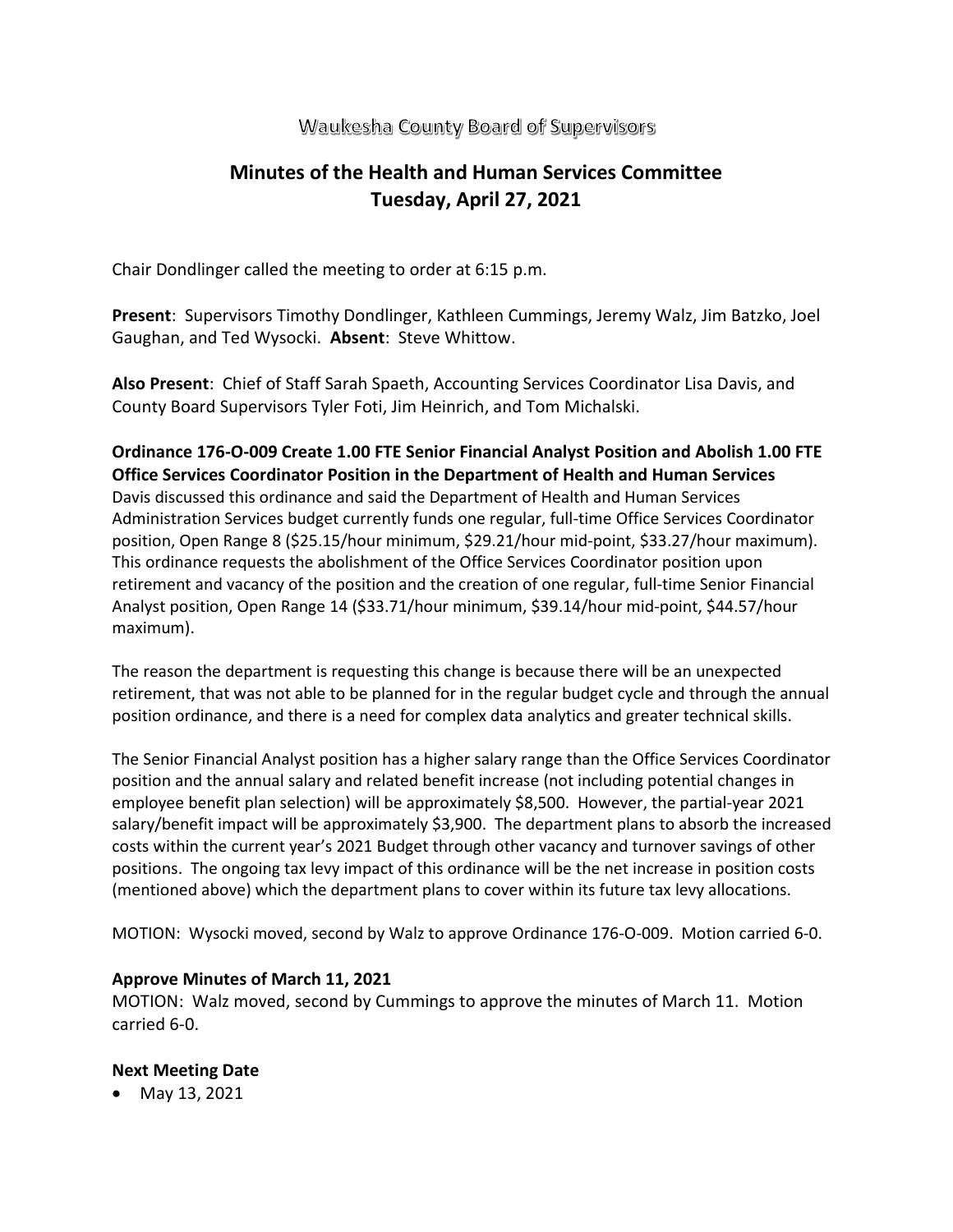## Waukesha County Board of Supervisors

# **Minutes of the Health and Human Services Committee Tuesday, April 27, 2021**

Chair Dondlinger called the meeting to order at 6:15 p.m.

**Present**: Supervisors Timothy Dondlinger, Kathleen Cummings, Jeremy Walz, Jim Batzko, Joel Gaughan, and Ted Wysocki. **Absent**: Steve Whittow.

**Also Present**: Chief of Staff Sarah Spaeth, Accounting Services Coordinator Lisa Davis, and County Board Supervisors Tyler Foti, Jim Heinrich, and Tom Michalski.

### **Ordinance 176-O-009 Create 1.00 FTE Senior Financial Analyst Position and Abolish 1.00 FTE Office Services Coordinator Position in the Department of Health and Human Services**

Davis discussed this ordinance and said the Department of Health and Human Services Administration Services budget currently funds one regular, full-time Office Services Coordinator position, Open Range 8 (\$25.15/hour minimum, \$29.21/hour mid-point, \$33.27/hour maximum). This ordinance requests the abolishment of the Office Services Coordinator position upon retirement and vacancy of the position and the creation of one regular, full-time Senior Financial Analyst position, Open Range 14 (\$33.71/hour minimum, \$39.14/hour mid-point, \$44.57/hour maximum).

The reason the department is requesting this change is because there will be an unexpected retirement, that was not able to be planned for in the regular budget cycle and through the annual position ordinance, and there is a need for complex data analytics and greater technical skills.

The Senior Financial Analyst position has a higher salary range than the Office Services Coordinator position and the annual salary and related benefit increase (not including potential changes in employee benefit plan selection) will be approximately \$8,500. However, the partial-year 2021 salary/benefit impact will be approximately \$3,900. The department plans to absorb the increased costs within the current year's 2021 Budget through other vacancy and turnover savings of other positions. The ongoing tax levy impact of this ordinance will be the net increase in position costs (mentioned above) which the department plans to cover within its future tax levy allocations.

MOTION: Wysocki moved, second by Walz to approve Ordinance 176-O-009. Motion carried 6-0.

#### **Approve Minutes of March 11, 2021**

MOTION: Walz moved, second by Cummings to approve the minutes of March 11. Motion carried 6-0.

#### **Next Meeting Date**

• May 13, 2021